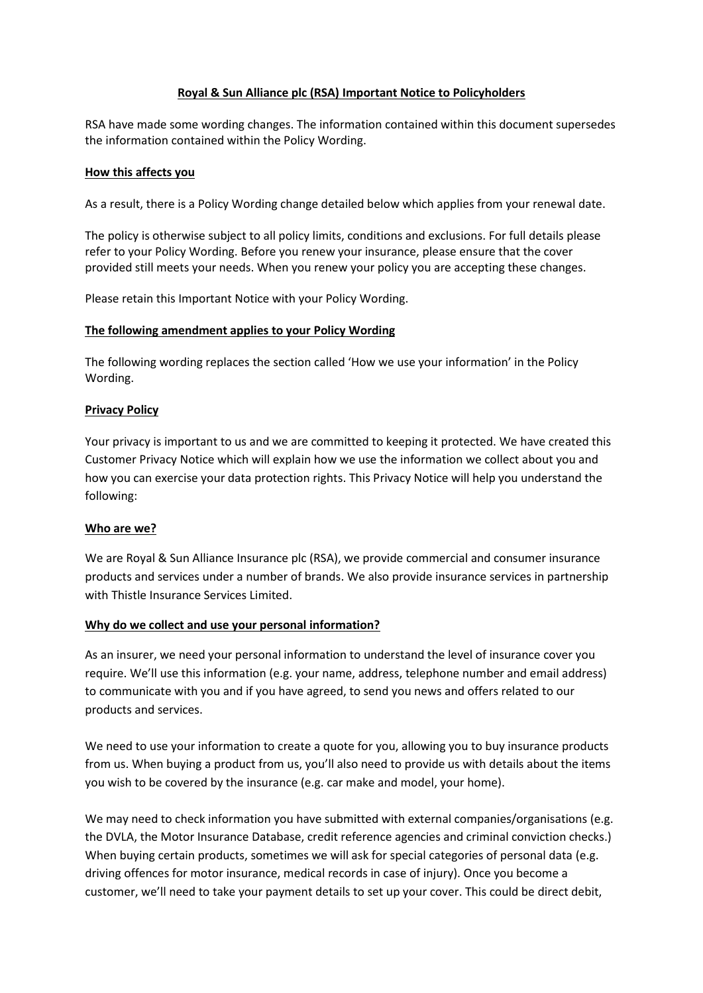### **Royal & Sun Alliance plc (RSA) Important Notice to Policyholders**

RSA have made some wording changes. The information contained within this document supersedes the information contained within the Policy Wording.

#### **How this affects you**

As a result, there is a Policy Wording change detailed below which applies from your renewal date.

The policy is otherwise subject to all policy limits, conditions and exclusions. For full details please refer to your Policy Wording. Before you renew your insurance, please ensure that the cover provided still meets your needs. When you renew your policy you are accepting these changes.

Please retain this Important Notice with your Policy Wording.

### **The following amendment applies to your Policy Wording**

The following wording replaces the section called 'How we use your information' in the Policy Wording.

### **Privacy Policy**

Your privacy is important to us and we are committed to keeping it protected. We have created this Customer Privacy Notice which will explain how we use the information we collect about you and how you can exercise your data protection rights. This Privacy Notice will help you understand the following:

### **Who are we?**

We are Royal & Sun Alliance Insurance plc (RSA), we provide commercial and consumer insurance products and services under a number of brands. We also provide insurance services in partnership with Thistle Insurance Services Limited.

### **Why do we collect and use your personal information?**

As an insurer, we need your personal information to understand the level of insurance cover you require. We'll use this information (e.g. your name, address, telephone number and email address) to communicate with you and if you have agreed, to send you news and offers related to our products and services.

We need to use your information to create a quote for you, allowing you to buy insurance products from us. When buying a product from us, you'll also need to provide us with details about the items you wish to be covered by the insurance (e.g. car make and model, your home).

We may need to check information you have submitted with external companies/organisations (e.g. the DVLA, the Motor Insurance Database, credit reference agencies and criminal conviction checks.) When buying certain products, sometimes we will ask for special categories of personal data (e.g. driving offences for motor insurance, medical records in case of injury). Once you become a customer, we'll need to take your payment details to set up your cover. This could be direct debit,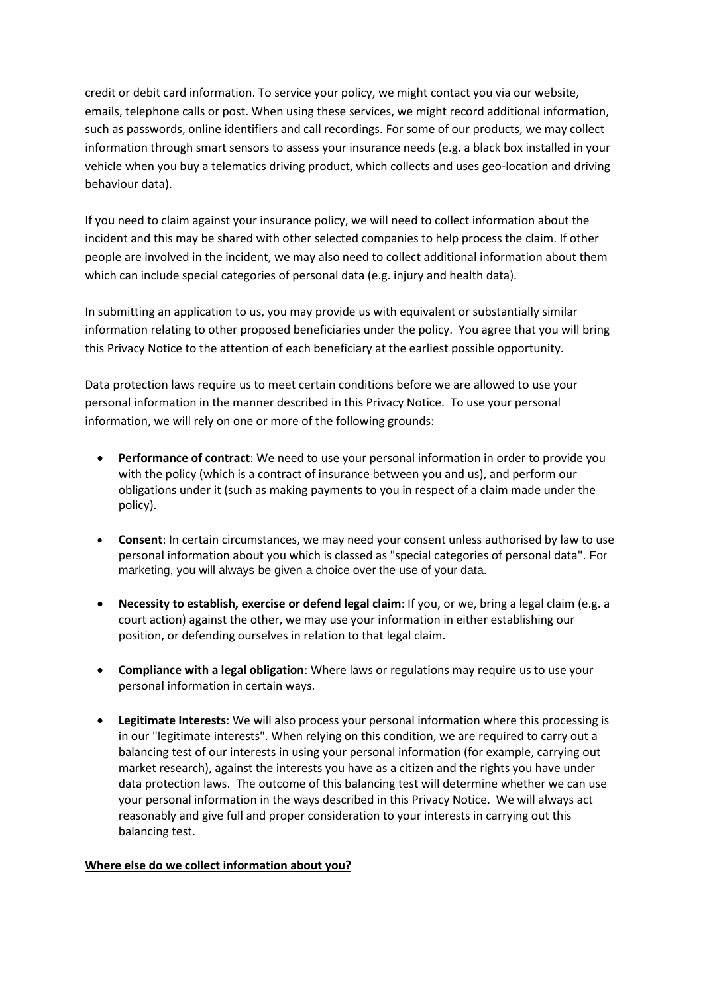credit or debit card information. To service your policy, we might contact you via our website, emails, telephone calls or post. When using these services, we might record additional information, such as passwords, online identifiers and call recordings. For some of our products, we may collect information through smart sensors to assess your insurance needs (e.g. a black box installed in your vehicle when you buy a telematics driving product, which collects and uses geo-location and driving behaviour data).

If you need to claim against your insurance policy, we will need to collect information about the incident and this may be shared with other selected companies to help process the claim. If other people are involved in the incident, we may also need to collect additional information about them which can include special categories of personal data (e.g. injury and health data).

In submitting an application to us, you may provide us with equivalent or substantially similar information relating to other proposed beneficiaries under the policy. You agree that you will bring this Privacy Notice to the attention of each beneficiary at the earliest possible opportunity.

Data protection laws require us to meet certain conditions before we are allowed to use your personal information in the manner described in this Privacy Notice. To use your personal information, we will rely on one or more of the following grounds:

- **Performance of contract**: We need to use your personal information in order to provide you with the policy (which is a contract of insurance between you and us), and perform our obligations under it (such as making payments to you in respect of a claim made under the policy).
- **Consent**: In certain circumstances, we may need your consent unless authorised by law to use personal information about you which is classed as "special categories of personal data". For marketing, you will always be given a choice over the use of your data.
- **Necessity to establish, exercise or defend legal claim**: If you, or we, bring a legal claim (e.g. a court action) against the other, we may use your information in either establishing our position, or defending ourselves in relation to that legal claim.
- **Compliance with a legal obligation**: Where laws or regulations may require us to use your personal information in certain ways.
- **Legitimate Interests**: We will also process your personal information where this processing is in our "legitimate interests". When relying on this condition, we are required to carry out a balancing test of our interests in using your personal information (for example, carrying out market research), against the interests you have as a citizen and the rights you have under data protection laws. The outcome of this balancing test will determine whether we can use your personal information in the ways described in this Privacy Notice. We will always act reasonably and give full and proper consideration to your interests in carrying out this balancing test.

# **Where else do we collect information about you?**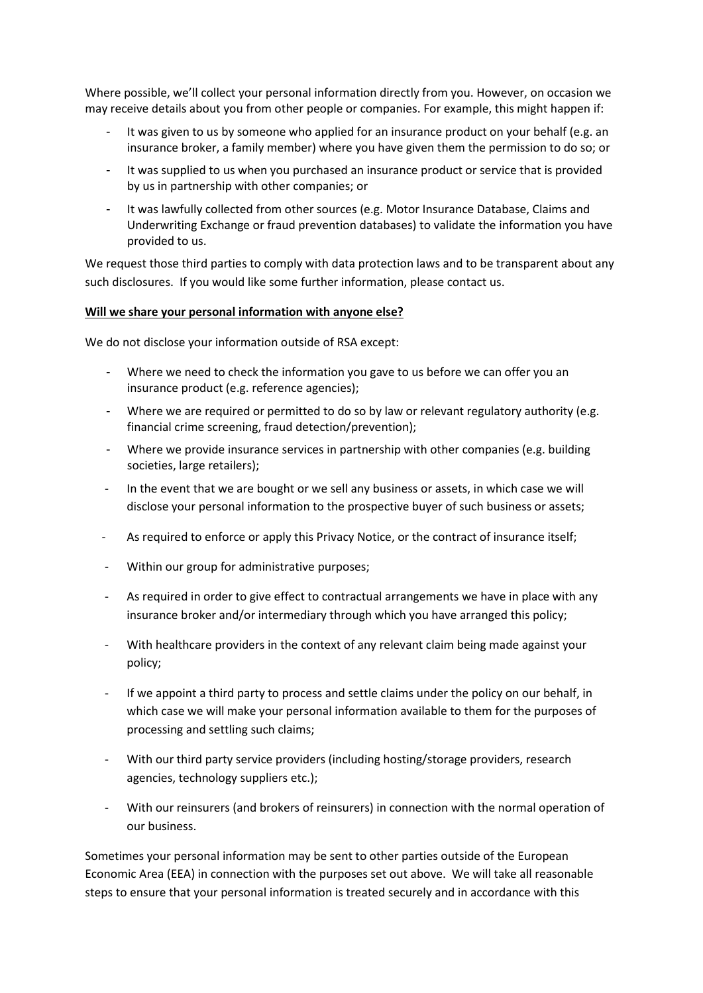Where possible, we'll collect your personal information directly from you. However, on occasion we may receive details about you from other people or companies. For example, this might happen if:

- It was given to us by someone who applied for an insurance product on your behalf (e.g. an insurance broker, a family member) where you have given them the permission to do so; or
- It was supplied to us when you purchased an insurance product or service that is provided by us in partnership with other companies; or
- It was lawfully collected from other sources (e.g. Motor Insurance Database, Claims and Underwriting Exchange or fraud prevention databases) to validate the information you have provided to us.

We request those third parties to comply with data protection laws and to be transparent about any such disclosures. If you would like some further information, please contact us.

### **Will we share your personal information with anyone else?**

We do not disclose your information outside of RSA except:

- Where we need to check the information you gave to us before we can offer you an insurance product (e.g. reference agencies);
- Where we are required or permitted to do so by law or relevant regulatory authority (e.g. financial crime screening, fraud detection/prevention);
- Where we provide insurance services in partnership with other companies (e.g. building societies, large retailers);
- In the event that we are bought or we sell any business or assets, in which case we will disclose your personal information to the prospective buyer of such business or assets;
- As required to enforce or apply this Privacy Notice, or the contract of insurance itself;
- Within our group for administrative purposes;
- As required in order to give effect to contractual arrangements we have in place with any insurance broker and/or intermediary through which you have arranged this policy;
- With healthcare providers in the context of any relevant claim being made against your policy;
- If we appoint a third party to process and settle claims under the policy on our behalf, in which case we will make your personal information available to them for the purposes of processing and settling such claims;
- With our third party service providers (including hosting/storage providers, research agencies, technology suppliers etc.);
- With our reinsurers (and brokers of reinsurers) in connection with the normal operation of our business.

Sometimes your personal information may be sent to other parties outside of the European Economic Area (EEA) in connection with the purposes set out above. We will take all reasonable steps to ensure that your personal information is treated securely and in accordance with this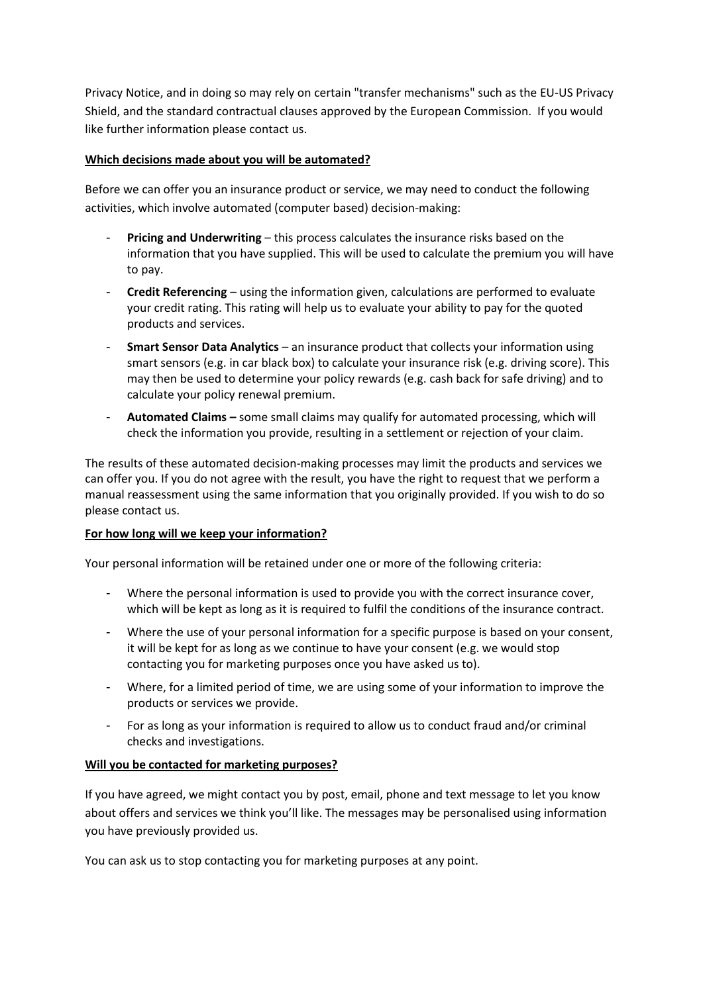Privacy Notice, and in doing so may rely on certain "transfer mechanisms" such as the EU-US Privacy Shield, and the standard contractual clauses approved by the European Commission. If you would like further information please contact us.

## **Which decisions made about you will be automated?**

Before we can offer you an insurance product or service, we may need to conduct the following activities, which involve automated (computer based) decision-making:

- **Pricing and Underwriting** this process calculates the insurance risks based on the information that you have supplied. This will be used to calculate the premium you will have to pay.
- **Credit Referencing** using the information given, calculations are performed to evaluate your credit rating. This rating will help us to evaluate your ability to pay for the quoted products and services.
- **Smart Sensor Data Analytics**  an insurance product that collects your information using smart sensors (e.g. in car black box) to calculate your insurance risk (e.g. driving score). This may then be used to determine your policy rewards (e.g. cash back for safe driving) and to calculate your policy renewal premium.
- **Automated Claims –** some small claims may qualify for automated processing, which will check the information you provide, resulting in a settlement or rejection of your claim.

The results of these automated decision-making processes may limit the products and services we can offer you. If you do not agree with the result, you have the right to request that we perform a manual reassessment using the same information that you originally provided. If you wish to do so please contact us.

### **For how long will we keep your information?**

Your personal information will be retained under one or more of the following criteria:

- Where the personal information is used to provide you with the correct insurance cover, which will be kept as long as it is required to fulfil the conditions of the insurance contract.
- Where the use of your personal information for a specific purpose is based on your consent, it will be kept for as long as we continue to have your consent (e.g. we would stop contacting you for marketing purposes once you have asked us to).
- Where, for a limited period of time, we are using some of your information to improve the products or services we provide.
- For as long as your information is required to allow us to conduct fraud and/or criminal checks and investigations.

# **Will you be contacted for marketing purposes?**

If you have agreed, we might contact you by post, email, phone and text message to let you know about offers and services we think you'll like. The messages may be personalised using information you have previously provided us.

You can ask us to stop contacting you for marketing purposes at any point.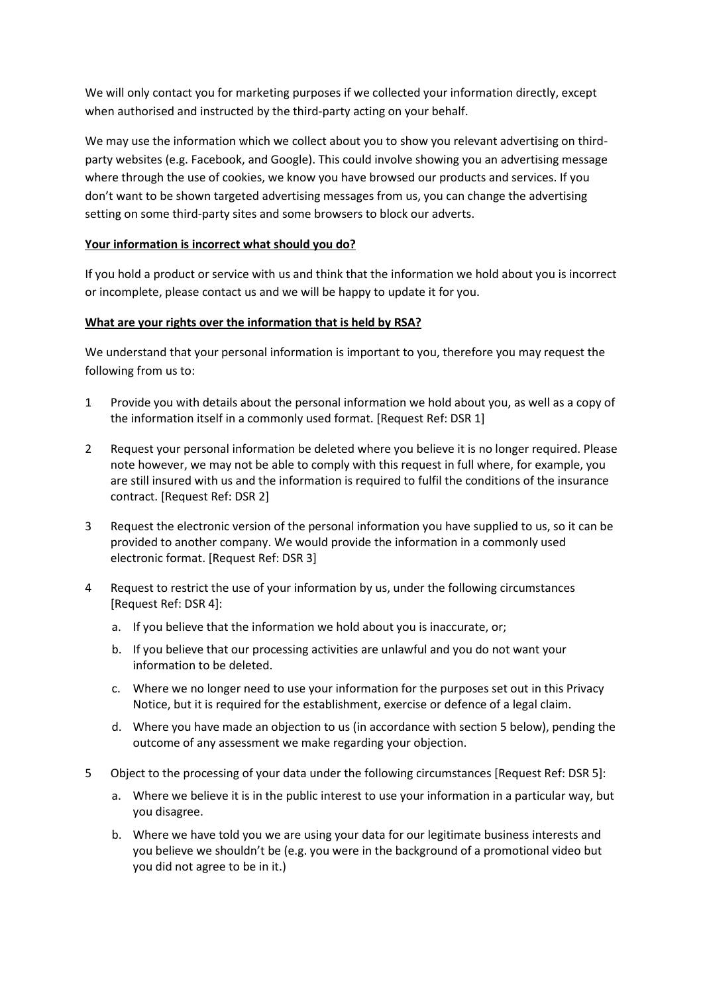We will only contact you for marketing purposes if we collected your information directly, except when authorised and instructed by the third-party acting on your behalf.

We may use the information which we collect about you to show you relevant advertising on thirdparty websites (e.g. Facebook, and Google). This could involve showing you an advertising message where through the use of cookies, we know you have browsed our products and services. If you don't want to be shown targeted advertising messages from us, you can change the advertising setting on some third-party sites and some browsers to block our adverts.

### **Your information is incorrect what should you do?**

If you hold a product or service with us and think that the information we hold about you is incorrect or incomplete, please contact us and we will be happy to update it for you.

### **What are your rights over the information that is held by RSA?**

We understand that your personal information is important to you, therefore you may request the following from us to:

- 1 Provide you with details about the personal information we hold about you, as well as a copy of the information itself in a commonly used format. [Request Ref: DSR 1]
- 2 Request your personal information be deleted where you believe it is no longer required. Please note however, we may not be able to comply with this request in full where, for example, you are still insured with us and the information is required to fulfil the conditions of the insurance contract. [Request Ref: DSR 2]
- 3 Request the electronic version of the personal information you have supplied to us, so it can be provided to another company. We would provide the information in a commonly used electronic format. [Request Ref: DSR 3]
- 4 Request to restrict the use of your information by us, under the following circumstances [Request Ref: DSR 4]:
	- a. If you believe that the information we hold about you is inaccurate, or;
	- b. If you believe that our processing activities are unlawful and you do not want your information to be deleted.
	- c. Where we no longer need to use your information for the purposes set out in this Privacy Notice, but it is required for the establishment, exercise or defence of a legal claim.
	- d. Where you have made an objection to us (in accordance with section 5 below), pending the outcome of any assessment we make regarding your objection.
- 5 Object to the processing of your data under the following circumstances [Request Ref: DSR 5]:
	- a. Where we believe it is in the public interest to use your information in a particular way, but you disagree.
	- b. Where we have told you we are using your data for our legitimate business interests and you believe we shouldn't be (e.g. you were in the background of a promotional video but you did not agree to be in it.)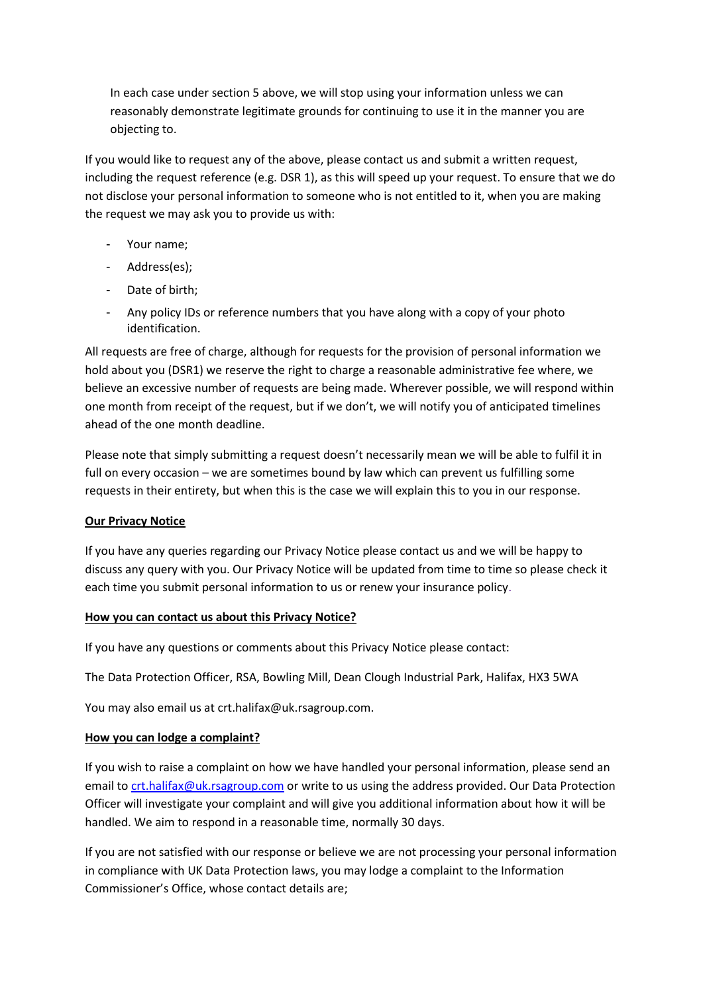In each case under section 5 above, we will stop using your information unless we can reasonably demonstrate legitimate grounds for continuing to use it in the manner you are objecting to.

If you would like to request any of the above, please contact us and submit a written request, including the request reference (e.g. DSR 1), as this will speed up your request. To ensure that we do not disclose your personal information to someone who is not entitled to it, when you are making the request we may ask you to provide us with:

- Your name;
- Address(es);
- Date of birth;
- Any policy IDs or reference numbers that you have along with a copy of your photo identification.

All requests are free of charge, although for requests for the provision of personal information we hold about you (DSR1) we reserve the right to charge a reasonable administrative fee where, we believe an excessive number of requests are being made. Wherever possible, we will respond within one month from receipt of the request, but if we don't, we will notify you of anticipated timelines ahead of the one month deadline.

Please note that simply submitting a request doesn't necessarily mean we will be able to fulfil it in full on every occasion – we are sometimes bound by law which can prevent us fulfilling some requests in their entirety, but when this is the case we will explain this to you in our response.

### **Our Privacy Notice**

If you have any queries regarding our Privacy Notice please contact us and we will be happy to discuss any query with you. Our Privacy Notice will be updated from time to time so please check it each time you submit personal information to us or renew your insurance policy.

### **How you can contact us about this Privacy Notice?**

If you have any questions or comments about this Privacy Notice please contact:

The Data Protection Officer, RSA, Bowling Mill, Dean Clough Industrial Park, Halifax, HX3 5WA

You may also email us at crt.halifax@uk.rsagroup.com.

#### **How you can lodge a complaint?**

If you wish to raise a complaint on how we have handled your personal information, please send an email to [crt.halifax@uk.rsagroup.com](mailto:crt.halifax@uk.rsagroup.com) or write to us using the address provided. Our Data Protection Officer will investigate your complaint and will give you additional information about how it will be handled. We aim to respond in a reasonable time, normally 30 days.

If you are not satisfied with our response or believe we are not processing your personal information in compliance with UK Data Protection laws, you may lodge a complaint to the Information Commissioner's Office, whose contact details are;